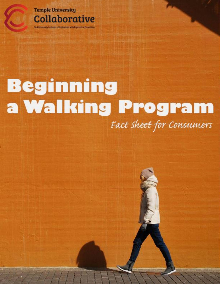**Temple University Collaborative** 

# **Beginning** a Walking Program Fact sheet for Consumers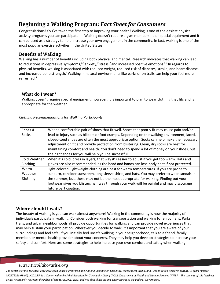# **Beginning a Walking Program:** *Fact Sheet for Consumers*

Congratulations! You've taken the first step to improving your health! Walking is one of the easiest physical activity programs you can participate in. Walking doesn't require a gym membership or special equipment and it can be used as a strategy to help increase your own engagement in the community. In fact, walking is one of the most popular exercise activities in the United States.<sup>1</sup>

# **Benefits of Walking**

Walking has a number of benefits including both physical and mental. Research indicates that walking can lead to reductions in depressive symptoms,<sup>2,3</sup> anxiety,<sup>2</sup> stress,<sup>2</sup> and increased positive emotions.<sup>3,4</sup> In regards to physical benefits, walking is associated with reduced weight, reduced risk of diabetes, stroke, and heart disease, and increased bone strength.<sup>1</sup> Walking in natural environments like parks or on trails can help your feel more refreshed.<sup>4</sup>

# **What do I wear?**

Walking doesn't require special equipment; however, it is important to plan to wear clothing that fits and is appropriate for the weather.

#### *Clothing Recommendations for Walking Participants*

| Shoes &      | Wear a comfortable pair of shoes that fit well. Shoes that poorly fit may cause pain and/or   |  |  |  |
|--------------|-----------------------------------------------------------------------------------------------|--|--|--|
| Socks        | lead to injury such as blisters or foot cramps. Depending on the walking environment, laced,  |  |  |  |
|              | closed-toed shoes are often the most appropriate option. Socks can help make the necessary    |  |  |  |
|              | adjustment on fit and provide protection from blistering. Clean, dry socks are best for       |  |  |  |
|              | maintaining comfort and health. You don't need to spend a lot of money on your shoes, but     |  |  |  |
|              | the right shoes for you will help you be successful.                                          |  |  |  |
| Cold Weather | When it's cold, dress in layers, that way it's easier to adjust if you get too warm. Hats and |  |  |  |
| Clothing     | gloves are also recommended, as the head and hands can lose body heat if not protected.       |  |  |  |
| Warm         | Light colored, lightweight clothing are best for warm temperatures. If you are prone to       |  |  |  |
| Weather      | sunburn, consider sunscreen, long sleeve shirts, and hats. You may prefer to wear sandals in  |  |  |  |
| Clothing     | the summer, but, these may not be the most appropriate for walking. Finding out your          |  |  |  |
|              | footwear gives you blisters half way through your walk will be painful and may discourage     |  |  |  |
|              | future participation.                                                                         |  |  |  |

# **Where should I walk?**

The beauty of walking is you can walk almost anywhere! Walking in the community is how the majority of individuals participate in walking. Consider both walking for transportation and walking for enjoyment. Parks, trails, and urban neighborhoods all provide opportunities for walking and can provide novel experiences that may help sustain your participation. Wherever you decide to walk, it's important that you are aware of your surroundings and feel safe. If you initially feel unsafe walking in your neighborhood, talk to a friend, family member, or mental health provider about your concerns. They may help you develop strategies to increase your safety and comfort. Here are some strategies to help increase your own comfort and safety when walking.

# *[www.tucollaborative.org](http://www.tucollaborative.org/)*

*The contents of this factsheet were developed under a grant from the National Institute on Disability, Independent Living, and Rehabilitation Research (NIDILRR grant number #90RT5021-01-00). NIDILRR is a Center within the Administration for Community Living (ACL), Department of Health and Human Services (HHS). The contents of this factsheet do not necessarily represent the policy of NIDILRR, ACL, HHS, and you should not assume endorsement by the Federal Government.*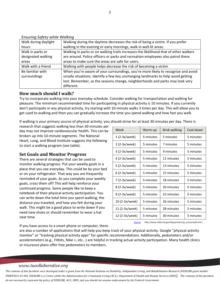2

#### *Ensuring Safety while Walking*

| Walk during daylight | Walking during the daytime decreases the risk of being a victim. If you prefer       |
|----------------------|--------------------------------------------------------------------------------------|
| hours                | walking in the evening or early mornings, walk in well-lit areas.                    |
| Walk in parks or     | Walking in parks or on walking trails increases the likelihood that of other walkers |
| designated walking   | are around. Police officers or parks and recreation employees also patrol these      |
| areas                | areas to make sure the areas are safe for users.                                     |
| Walk with a friend   | Walking with people helps decrease the risk of becoming a victim                     |
| Be familiar with     | When you're aware of your surroundings, you're more likely to recognize and avoid    |
| surroundings         | unsafe situations. Identify a few key unchanging landmarks to help avoid getting     |
|                      | lost. Remember, as the seasons change, neighborhoods and parks may look very         |
|                      | different.                                                                           |

#### **How much should I walk?**

Try to incorporate walking into your everyday schedule. Consider walking for transportation and walking for pleasure. The minimum recommended time for participating in physical activity is 10 minutes. If you currently don't participate in any physical activity, try starting with 10-minute walks 3 times per day. This will allow you to get used to walking and then you can gradually increase the time you spend walking and how fast you walk.

If walking is your primary source of physical activity, you should strive for at least 30 minutes per day. There is

research that suggests walking less than 30 minutes per day may not improve cardiovascular health. This can be broken up into 10-minute segments. The National Heart, Lung, and Blood Institute suggests the following to start a walking program (see table).

#### **Set Goals and Monitor Progress**

There are several strategies that can be used to monitor walking progress. Put your weekly goals in a place that you see everyday. This could be by your bed or on your refrigerator. That way you are frequently reminded of your goals. As you complete your weekly goals, cross them off! This will help reinforce your continued progress. Some people like to keep a notebook of their physical activity participation. You can write down the total time you spent walking, the distance you traveled, and how you felt during your walk. This might be a good place to write down if you need new shoes or should remember to wear a hat next time.

| Week           | Warm-up   | Brisk walking | Cool-down |
|----------------|-----------|---------------|-----------|
| 1 (2-3x/week)  | 5 minutes | 5 minutes     | 5 minutes |
| 2 (2-3x/week)  | 5 minutes | 7 minutes     | 5 minutes |
| 3 (2-3x/week)  | 5 minutes | 9 minutes     | 5 minutes |
| 4 (2-3x/week)  | 5 minutes | 11 minutes    | 5 minutes |
| 5 (2-3x/week)  | 5 minutes | 13 minutes    | 5 minutes |
| 6 (2-3x/week)  | 5 minutes | 15 minutes    | 5 minutes |
| 7 (2-3x/week)  | 5 minutes | 18 minutes    | 5 minutes |
| 8 (2-3x/week)  | 5 minutes | 20 minutes    | 5 minutes |
| 9 (2-3x/week)  | 5 minutes | 23 minutes    | 5 minutes |
| 10 (2-3x/week) | 5 minutes | 26 minutes    | 5 minutes |
| 11 (2-3x/week) | 5 minutes | 28 minutes    | 5 minutes |
| 12 (2-3x/week) | 5 minutes | 30 minutes    | 5 minutes |

[Source: http://www.nhlbi.nih.gov/hbp/prevent/p\\_active/walk.html](http://www.nhlbi.nih.gov/hbp/prevent/p_active/walk.html)

If you have access to a smart phone or computer, there

are also a number of applications that will help you keep track of your physical activity. Google "physical activity monitor" or "tracking physical activity apps" for specific recommendations. Additionally, pedometers and/or accelerometers (e.g., Fitbits, Nike +, etc…) are helpful in tracking actual activity participation. Many health clinics or insurance plans offer free pedometers to members.

#### *[www.tucollaborative.org](http://www.tucollaborative.org/)*

*The contents of this factsheet were developed under a grant from the National Institute on Disability, Independent Living, and Rehabilitation Research (NIDILRR grant number #90RT5021-01-00). NIDILRR is a Center within the Administration for Community Living (ACL), Department of Health and Human Services (HHS). The contents of this factsheet do not necessarily represent the policy of NIDILRR, ACL, HHS, and you should not assume endorsement by the Federal Government.*